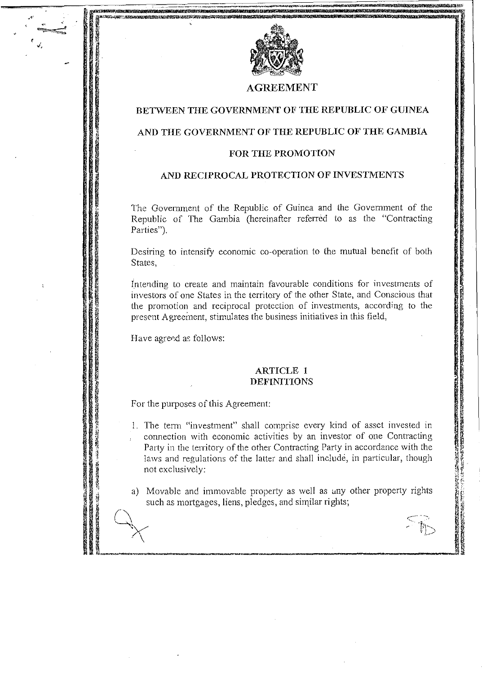

\_\_\_\_\_ , \_\_ n .. \_,. \_\_ --=--~\_\_\_\_\_\_\_;;;:;;;; \_\_ .\_\_ "~~~ **iilmU';n9 II(** m~~!tm-j:;

#### **AGREEMENT**

## **BETWEEN THE GOVERNMENT OF THE REPUBLIC OF GUINEA**

## <sup>~</sup>**AND THE GOVERNMENT OF THE REPUBLIC OF THE GAMBIA**

#### **FOR THE PROMOTION**

#### **AND RECIPROCAL PROTECTION OF INVESTMENTS**

The Government of the Republic of Guinea and the Government of the Republic of The Gambia (hereinafter referred to as the "Contracting Parties").

Desiring to intensify economic co-operation to the mutual benefit of both States,

Intending to create and maintain favourable conditions for investments of investors of one States in the territory of the other State, and Conscious that the promotion and reciprocal protection of investments, according **to** the present Agreeinent, stimulates the business initiatives in this field,

Have agreed as follows:

~t-'\_ **W14** WW~ ~\_ *mv* r-"-':'

**JANES CARDINALS** 

•

I I

~ ~

*I,* 

#### **ARTICLE 1 DEFINITIONS**

For the purposes of this Agreement:

1. The term "investment" shall comprise every kind of asset invested in connection with economic activities by an investor of one Contracting Party in the territory of the other Contracting Party in accordance with the laws and regulations of the latter and shall include, in particular, though not exclusively:

a) Movable and immovable property as well as any other property rights such as mortgages, liens, pledges, and similar rights;

' \_\_ ,**\_. \_\_\_ ". \_\_\_\_\_\_\_\_\_\_\_\_\_\_\_\_\_\_\_\_\_\_\_\_ -\_--" \_\_ .aJ** 

 $\mathbb{R}^2$ 

 $\textstyle\substack{\sim\\ \sim}$ 

**I,;** 

**SECTION AND RESERVE TO A SECTION AND A SECTION AND A SECTION AND A SECTION AND A SECTION AND A SECTION AND A SECTION AND A SECTION AND A SECTION AND A SECTION AND A SECTION AND A SECTION AND A SECTION AND A SECTION AND A**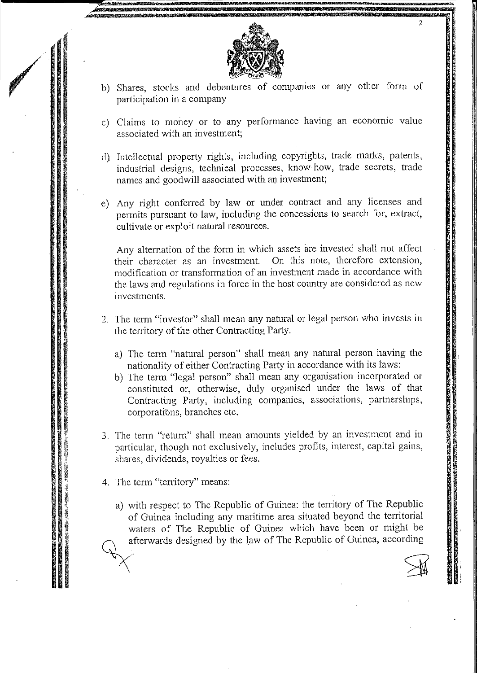

b) Shares, stocks and debentures of companies or any other form of participation in a company

2

I' I'

- c) Claims to money or to any performance having an economic value associated with an investment;
- d) Intellectual properly rights, including copyrights, trade marks, patents, industrial designs, technical processes, know-how, trade secrets, trade names and goodwill associated with an investment;
- e) Any right conferred by law or under contract and any licenses and permits pursuant to law, including the concessions to search for, extract, cultivate or exploit natural resources.

Any alternation of the form in which assets are invested shall not affect their character as an investment. On this note, therefore extension. their character as an investment. modification or transformation of an investment made in accordance with the laws and regulations in force in the host country are considered as new investments.

- 2. The term "investor" shall mean any natural or legal person who invests in the territory of the other Contracting Party.
	- a) The term "natural person" shall mean any natural person having the nationality of either Contracting Party in accordance with its laws:
	- b) The term "legal person" shaH mean any organisation incorporated or constituted or, otherwise, duly organised under the laws of that Contracting Party, including companies, associations, partnerships, corporations, branches etc.
- 3. The term "return" shall mean amounts yielded by an investment and in particular, though not exclusively, includes profits, interest, capital gains, shares, dividends, royalties or fees.
- 4. The term "territory" means:

**Contract Contract Contract Contract Contract Contract Contract Contract Contract Contract Contract Contract Contract Contract Contract Contract Contract Contract Contract Contract Contract Contract Contract Contract Contr** 

a) with respect to The Republic of Guinea: the territory of The Republic of Guinea including any maritime area situated beyond the territorial waters of The Republic of Guinea which have been or might be afterwards designed by the law of The Republic of Guinea, according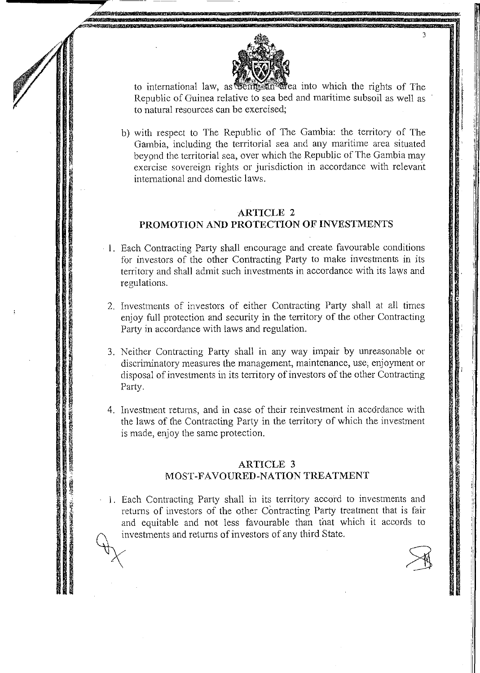

the feature into which the rights of The to international law, as certificant Republic of Guinea relative to sea bed and maritime subsoil as well as to natural resources can be exercised;

b) with respect to The Republic of The Gambia: the territory of The Gambia, including the territorial sea and any maritime area situated beyond the territorial sea, over which the Republic of The Gambia may exercise sovereign rights or jurisdiction in accordance with relevant international and domestic laws.

## **ARTICLE 2** PROMOTION AND PROTECTION OF INVESTMENTS

- 1. Each Contracting Party shall encourage and create favourable conditions for investors of the other Contracting Party to make investments in its territory and shall admit such investments in accordance with its laws and regulations.
- 2. Investments of investors of either Contracting Party shall at all times enjoy full protection and security in the territory of the other Contracting Party in accordance with laws and regulation.
- 3. Neither Contracting Party shall in any way impair by unreasonable or discriminatory measures the management, maintenance, use, enjoyment or disposal of investments in its territory of investors of the other Contracting Party.
- 4. Investment returns, and in case of their reinvestment in accordance with the laws of the Contracting Party in the territory of which the investment is made, enjoy the same protection.

## **ARTICLE 3** MOST-FAVOURED-NATION TREATMENT

1. Each Contracting Party shall in its territory accord to investments and returns of investors of the other Contracting Party treatment that is fair and equitable and not less favourable than that which it accords to investments and returns of investors of any third State.

のことには、「一、「地震のある」、「このこのとのなるが、のかなるのである」とは、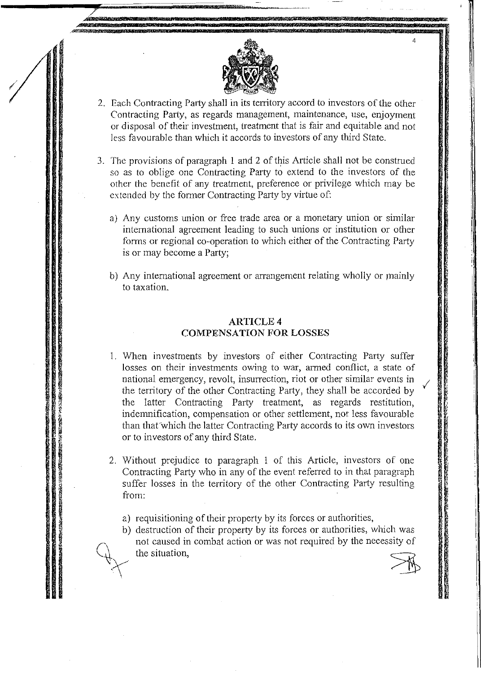

• **ti .. 77 Ii! Hi; m <sup>1</sup>**

**,.,27m** 7WT''WtiEiM'h~1!!1t

- 2. Each Contracting Party shall in its territory accord to investors of the other Contracting Party, as regards management, maintenance, use, enjoyment or disposal of their investment, treatment that is fair and equitable and not less favourable than which it accords to investors of any third State.
- 3. The provisions of paragraph I and 2 of this Article shall not be construed so as to oblige one Contracting Party to extend to the investors of the other the benefit of any treatment, preference or privilege which may be extended by the former Contracting Party by virtue of:
	- a) Any customs union or free trade area or a monetary union or similar international agreement leading to such unions or institution or other forms or regional co-operation to which either of the Contracting Party is or may become a Party;
	- b) Any international agreement or arrangement relating wholly or mainly to taxation.

#### ARTICLE 4 COMPENSATION **FOR** LOSSES

- I. When investments by investors of either Contracting Party suffer losses on their investments owing to war, armed conflict, a state of national emergency, revolt, insurrection, riot or other similar events in / the ten'itory of the other Contracting Party, they shall be accorded by the latter Contracting Party treatment, as regards restitution, indemnification, compensation or other settlement, not less favourable than that which the latter Contracting Party accords to its own investors or to investors of any third State.
- 2. Without prejudice to paragraph 1 of this Article, investors of one Contracting Party who in any of the event referred to in that paragraph suffer losses in the territory of the other Contracting Party resulting from:
	- a) requisitioning of their property by its forces or authorities,
	- b) destruction of their property by its forces or authorities, which was not caused in combat action or was not required by the necessity of the situation,

 $\frac{1}{2}$ 

4

**!""ft';** 

I'  $\mathbf T$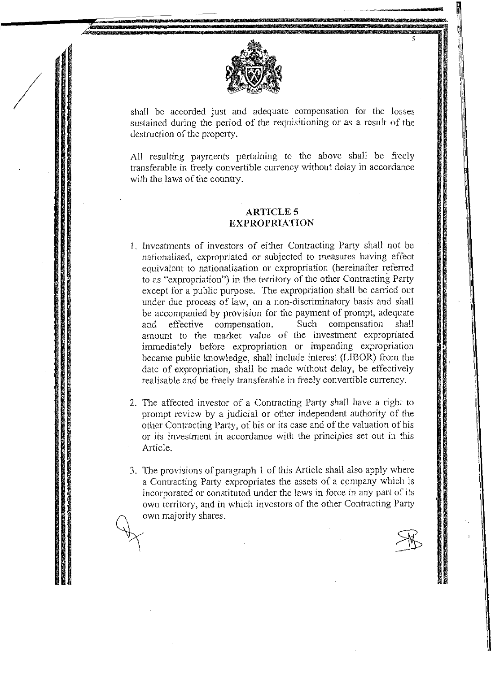

/

shall be accorded just and adequate compensation for the losses sustained during the period of the requisitioning or as a result of the destruction of the property.

All resulting payments pertaining to the above shall be freely transferable in freely convertible currency without delay in accordance with the laws of the country.

#### **ARTICLES EXPROPRlATION**

- 1. Investments of investors of either Contracting Party shall not be nationalised, expropriated or subjected to measures having effect equivalent to nationalisation or expropriation (hereinafter referred to as "expropriation") in the territory of the other Contracting Party except for a public purpose. The expropriation shall be carried out under due process of law, on a non-discriminatory basis and shall be accompanied by provision for the payment of prompt, adequate and effective compensation. Such compensation shall amount to the market value of the investment expropriated immediately before expropriation or impending expropriation became public knowledge, shall include interest (LIBOR) from the date of expropriation, shall be made without delay, be effectively realisable and be freely transferable in freely convertible currency.
- 2. The affected investor of a Contracting Party shall have a right to prompt review by a judicial or other independent authority of the other Contracting Party, of his or *its* case and of the valuation of his or its investment in accordance with the principles set out in this Article.
- 3. The provisions of paragraph 1 of this Article shall also apply where a Contracting Party expropriates the assets of a company which is incorporated or constituted under the laws in force in any part of *its*  own territory, and in which investors of the other Contracting Party<br>
own majority shares.

5

I i

.<br>ا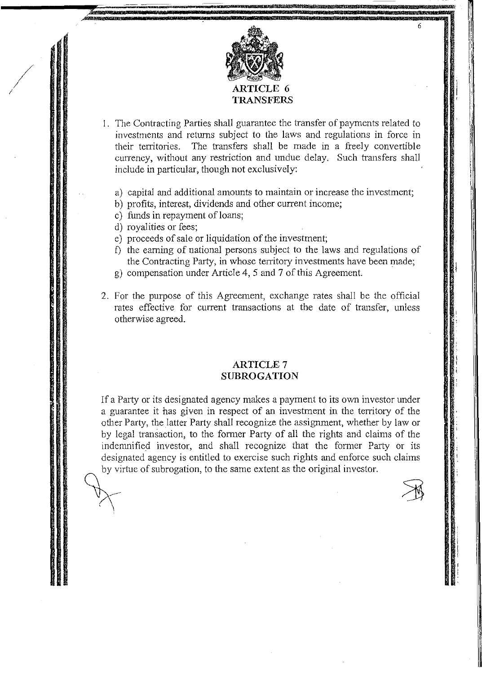

6

- I. The Contracting Parties shall guarantee the (ransfer of payments related to investments and returns subject to the laws and regulations in force in their territories. The transfers shall be made in a freely convertible currency, without any restriction and undue delay. Such transfers shall include in particular, though not exclusively:
	- a) capital and additional amounts to maintain or increase the investment;
	- b) profits, interest, dividends and other current income;
	- c) funds in repayment of loans;
	- d) royalities or fees;

/ ./

- e) proceeds of sale or liquidation of the investment;
- f) the earning of national persons subject to the laws and regulations of the Contracting Party, in whose territory investments have been made;
- g) compensation under Article 4, 5 and? of this Agreement.
- 2. For the purpose of this Agreement, exchange rates shall be the official rates effective for current transactions at the date of transfer, unless otherwise agreed.

#### **ARTICLE? SUBROGATION**

If a Party or its designated agency makes a payment to its own investor under a guarantee it has given in respect of an investment in the territory of the other Party, the latter Party shall recognize the assignment, whether by law or by legal transaction, to the former Party of all the rights and claims of the indemnified investor, and shall recognize that the former Party or its designated agency is entitled to exercise such rights and enforce such claims by virtue of subrogation, to the same extent as the original investor.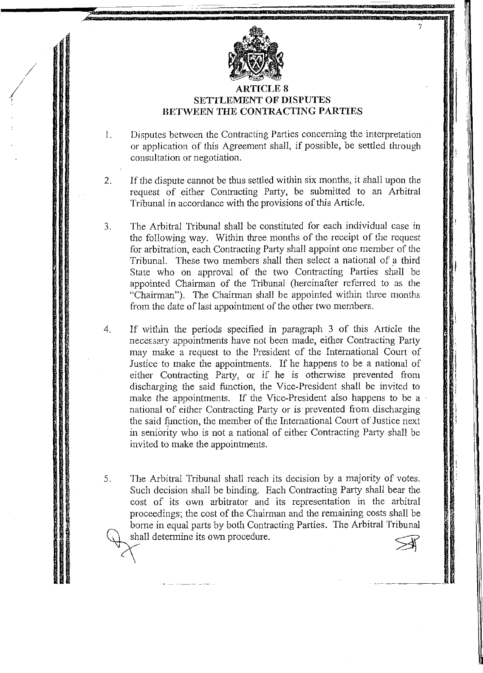

-

7

i I' il II,

 $\mathbf{i}$  " :1 , ,I

il

 $\cdot$  II Ii 'Iii ,,! I' I I ill ',I I:;  $-1$  $\mathbf{1}$ I ![ 'I, I: I

/

## ARTICLE 8 **SETTLEMENT OF DISPUTES BETWEEN THE CONTRACTING PARTIES**

- I. Disputes between the Contracting Parties concerning the interpretation or application of this Agreement shall, if possible, be settled through consultation or negotiation.
- 2. If the dispute cannot be thus settled within six months, it shall upon the request of either Contracting Party, be submitted to an Arbitral Tribunal in accordance with the provisions of this Article.
- 3. The Arbitral Tribunal shall be constituted for each individual case in the following way. Within three months of the receipt of the request for arbitration, each Contracting Party shall appoint one member of the Tribunal. These two members shall then select a national of a third State who on approval of the two Contracting Parties shall be appointed Chairman of the Tribunal (hereinafter referred to as the "Chairman"). The Chairman shall be appointed within three months from the date of last appointment of the other two members.
- 4. If within the periods specified in paragraph 3 of this Article the necessary appointments have not been made, either Contracting Party may make a request to the President of the International Court of Justice to make the appointments. If he happens to be a national of either Contracting Party, or if he is otherwise prevented from discharging the said function, the Vice-President shall be invited to make the appointments. If the Vice-President also happens to be a national of either Contracting Party or is prevented from discharging the said function, the member of the International Court of Justice next in seniority who is not a national of either Contracting Party shall be invited to make the appointments.
- 5. The Arbitral Tribunal shall reach its decision by a majority of votes. Such decision shall be binding. Each Contracting Party shall bear the cost of its own arbitrator and its representation in the arbitral proceedings; the cost of the Chairman and the remaining costs shall be borne in equal parts by both Contracting Parties. The Arbitral Tribunal shall determine its own procedure.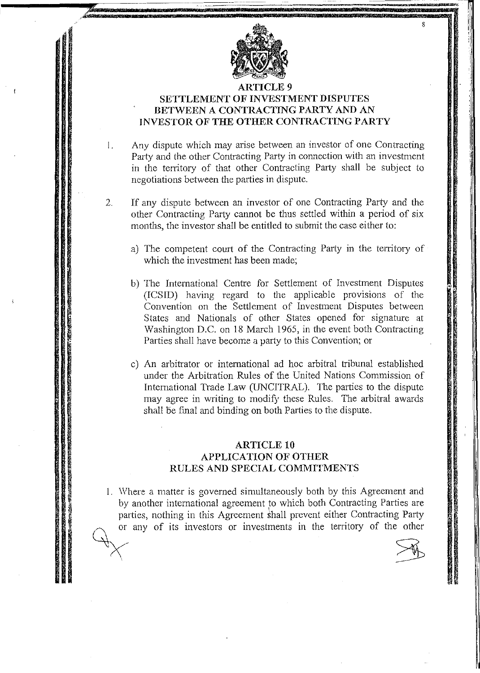

8

.1.

# SETTLEMENT OF INVESTMENT DISPUTES BETWEEN A CONTRACTING PARTY AND AN INVESTOR OF THE OTHER CONTRACTING PARTY

I.

 $\sqrt{2}$  $\left( \begin{array}{cc} \cdot & \cdot \end{array} \right)$ 

Any dispute which may arise between an investor of one Contracting Party and the other Contracting Party in connection with an investment in the territory of that other Contracting Party shall be subject to negotiations between the parties in dispute.

- 2. If any dispute between an investor of one Contracting Party and the other Contracting Party cannot be thus settled within a period of six months, the investor shall be entitled to submit the case either to:
	- a) The competent court of the Contracting Party in the territory of which the investment has been made;
	- b) The International Centre for Settlement of Investment Disputes (ICSID) having regard to the applicable provisions of the Convention on the Settlement of Investment Disputes between States and Nationals of other States opened for signature at Washington D.C. on 18 March 1965, in the event both Contracting Parties shall have become a party to this Convention; or
	- c) An arbitrator or international ad hoc arbitral tribunal established under the Arbitration Rules of the United Nations Commission of International Trade Law (UNCITRAL). The parties to the dispute may agree in writing to modify these Rules. The arbitral awards shall be final and binding on both Parties to the dispute.

## ARTICLE 10 APPLICATION OF OTHER RULES AND SPECIAL COMMITMENTS

1. Where a matter is governed simultaneously both by this Agreement and by another international agreement to which both Contracting Parties are parties, nothing in this Agreement shall prevent either Contracting Party or any of its investors or investments in the territory of the other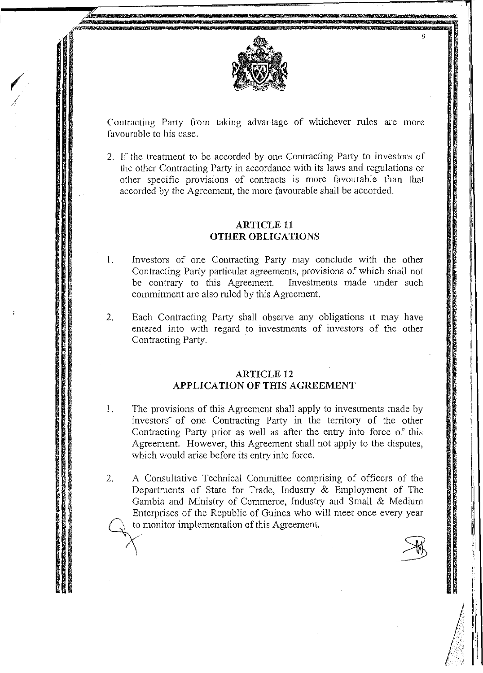

Contracting Party from taking advantage of whichever rules are more favourable to his case.

2. If the treatment to be accorded by one Contracting Party to investors of the other Contracting Party in accordance with its laws and regulations or other specific provisions of contracts is more favourable than that accorded by the Agreement, the more favourable shall be accorded.

## **ARTICLE 11 OTHER OBLIGATIONS**

- 1. Investors of one Contracting Party may conclude with the other Contracting Party particular agreements, provisions of which shall not be contrary to this Agreement. Investments made under such commitment are also ruled by this Agreement.
- $2.$ Each Contracting Party shall observe any obligations it may have entered into with regard to investments of investors of the other Contracting Party.

#### **ARTICLE 12** APPLICATION OF THIS AGREEMENT

- 1. The provisions of this Agreement shall apply to investments made by investors of one Contracting Party in the territory of the other Contracting Party prior as well as after the entry into force of this Agreement. However, this Agreement shall not apply to the disputes, which would arise before its entry into force.
- 2. A Consultative Technical Committee comprising of officers of the Departments of State for Trade, Industry & Employment of The Gambia and Ministry of Commerce, Industry and Small & Medium Enterprises of the Republic of Guinea who will meet once every year to monitor implementation of this Agreement.